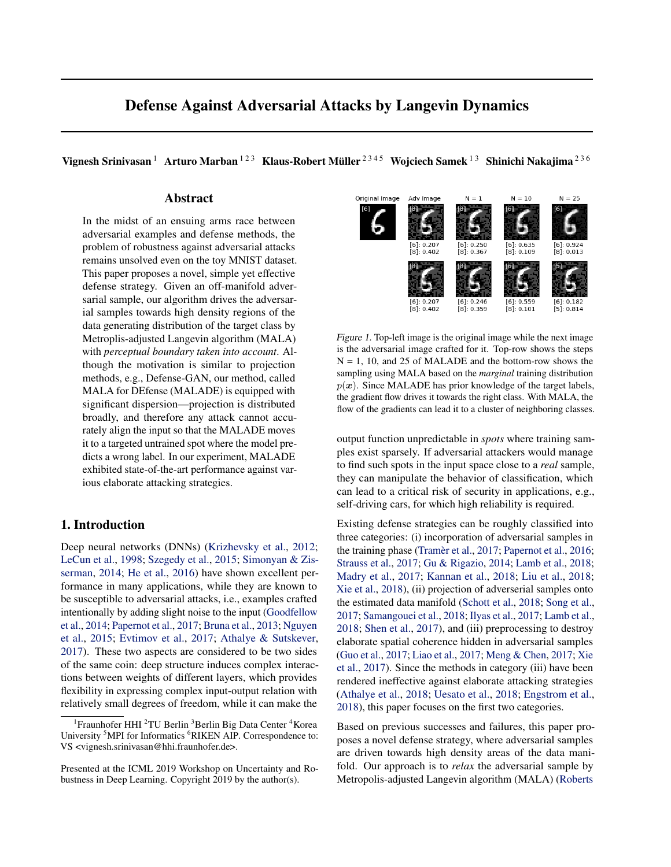# Defense Against Adversarial Attacks by Langevin Dynamics

Vignesh Srinivasan<sup>1</sup> Arturo Marban<sup>123</sup> Klaus-Robert Müller<sup>2345</sup> Wojciech Samek<sup>13</sup> Shinichi Nakajima<sup>236</sup>

# Abstract

In the midst of an ensuing arms race between adversarial examples and defense methods, the problem of robustness against adversarial attacks remains unsolved even on the toy MNIST dataset. This paper proposes a novel, simple yet effective defense strategy. Given an off-manifold adversarial sample, our algorithm drives the adversarial samples towards high density regions of the data generating distribution of the target class by Metroplis-adjusted Langevin algorithm (MALA) with *perceptual boundary taken into account*. Although the motivation is similar to projection methods, e.g., Defense-GAN, our method, called MALA for DEfense (MALADE) is equipped with significant dispersion—projection is distributed broadly, and therefore any attack cannot accurately align the input so that the MALADE moves it to a targeted untrained spot where the model predicts a wrong label. In our experiment, MALADE exhibited state-of-the-art performance against various elaborate attacking strategies.

# 1. Introduction

Deep neural networks (DNNs) [\(Krizhevsky et al.,](#page-4-0) [2012;](#page-4-0) [LeCun et al.,](#page-4-0) [1998;](#page-4-0) [Szegedy et al.,](#page-5-0) [2015;](#page-5-0) [Simonyan & Zis](#page-5-0)[serman,](#page-5-0) [2014;](#page-5-0) [He et al.,](#page-4-0) [2016\)](#page-4-0) have shown excellent performance in many applications, while they are known to be susceptible to adversarial attacks, i.e., examples crafted intentionally by adding slight noise to the input [\(Goodfellow](#page-4-0) [et al.,](#page-4-0) [2014;](#page-4-0) [Papernot et al.,](#page-4-0) [2017;](#page-4-0) [Bruna et al.,](#page-4-0) [2013;](#page-4-0) [Nguyen](#page-4-0) [et al.,](#page-4-0) [2015;](#page-4-0) [Evtimov et al.,](#page-4-0) [2017;](#page-4-0) [Athalye & Sutskever,](#page-4-0) [2017\)](#page-4-0). These two aspects are considered to be two sides of the same coin: deep structure induces complex interactions between weights of different layers, which provides flexibility in expressing complex input-output relation with relatively small degrees of freedom, while it can make the



Figure 1. Top-left image is the original image while the next image is the adversarial image crafted for it. Top-row shows the steps  $N = 1$ , 10, and 25 of MALADE and the bottom-row shows the sampling using MALA based on the *marginal* training distribution  $p(x)$ . Since MALADE has prior knowledge of the target labels, the gradient flow drives it towards the right class. With MALA, the flow of the gradients can lead it to a cluster of neighboring classes.

output function unpredictable in *spots* where training samples exist sparsely. If adversarial attackers would manage to find such spots in the input space close to a *real* sample, they can manipulate the behavior of classification, which can lead to a critical risk of security in applications, e.g., self-driving cars, for which high reliability is required.

Existing defense strategies can be roughly classified into three categories: (i) incorporation of adversarial samples in the training phase [\(Tramèr et al.,](#page-5-0) [2017;](#page-5-0) [Papernot et al.,](#page-4-0) [2016;](#page-4-0) [Strauss et al.,](#page-5-0) [2017;](#page-5-0) [Gu & Rigazio,](#page-4-0) [2014;](#page-4-0) [Lamb et al.,](#page-4-0) [2018;](#page-4-0) [Madry et al.,](#page-4-0) [2017;](#page-4-0) [Kannan et al.,](#page-4-0) [2018;](#page-4-0) [Liu et al.,](#page-4-0) [2018;](#page-4-0) [Xie et al.,](#page-5-0) [2018\)](#page-5-0), (ii) projection of adverserial samples onto the estimated data manifold [\(Schott et al.,](#page-5-0) [2018;](#page-5-0) [Song et al.,](#page-5-0) [2017;](#page-5-0) [Samangouei et al.,](#page-4-0) [2018;](#page-4-0) [Ilyas et al.,](#page-4-0) [2017;](#page-4-0) [Lamb et al.,](#page-4-0) [2018;](#page-4-0) [Shen et al.,](#page-5-0) [2017\)](#page-5-0), and (iii) preprocessing to destroy elaborate spatial coherence hidden in adversarial samples [\(Guo et al.,](#page-4-0) [2017;](#page-4-0) [Liao et al.,](#page-4-0) [2017;](#page-4-0) [Meng & Chen,](#page-4-0) [2017;](#page-4-0) [Xie](#page-5-0) [et al.,](#page-5-0) [2017\)](#page-5-0). Since the methods in category (iii) have been rendered ineffective against elaborate attacking strategies [\(Athalye et al.,](#page-4-0) [2018;](#page-4-0) [Uesato et al.,](#page-5-0) [2018;](#page-5-0) [Engstrom et al.,](#page-4-0) [2018\)](#page-4-0), this paper focuses on the first two categories.

Based on previous successes and failures, this paper proposes a novel defense strategy, where adversarial samples are driven towards high density areas of the data manifold. Our approach is to *relax* the adversarial sample by Metropolis-adjusted Langevin algorithm (MALA) [\(Roberts](#page-4-0)

<sup>&</sup>lt;sup>1</sup> Fraunhofer HHI <sup>2</sup>TU Berlin <sup>3</sup> Berlin Big Data Center <sup>4</sup> Korea University <sup>5</sup>MPI for Informatics <sup>6</sup>RIKEN AIP. Correspondence to: VS <vignesh.srinivasan@hhi.fraunhofer.de>.

Presented at the ICML 2019 Workshop on Uncertainty and Robustness in Deep Learning. Copyright 2019 by the author(s).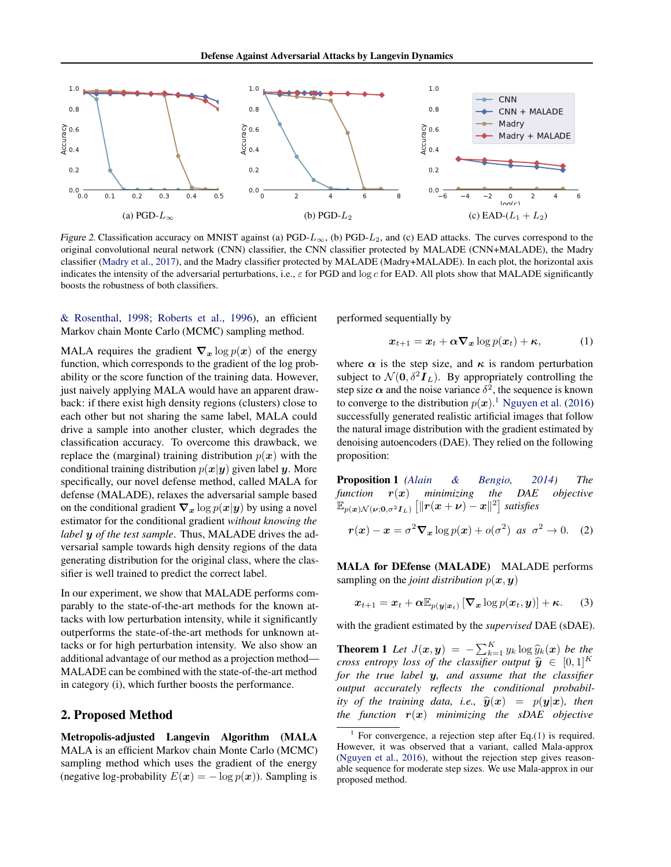<span id="page-1-0"></span>

Figure 2. Classification accuracy on MNIST against (a) PGD- $L_{\infty}$ , (b) PGD- $L_2$ , and (c) EAD attacks. The curves correspond to the original convolutional neural network (CNN) classifier, the CNN classifier protected by MALADE (CNN+MALADE), the Madry classifier [\(Madry et al.,](#page-4-0) [2017\)](#page-4-0), and the Madry classifier protected by MALADE (Madry+MALADE). In each plot, the horizontal axis indicates the intensity of the adversarial perturbations, i.e.,  $\varepsilon$  for PGD and log c for EAD. All plots show that MALADE significantly boosts the robustness of both classifiers.

[& Rosenthal,](#page-4-0) [1998;](#page-4-0) [Roberts et al.,](#page-4-0) [1996\)](#page-4-0), an efficient Markov chain Monte Carlo (MCMC) sampling method.

MALA requires the gradient  $\nabla_x \log p(x)$  of the energy function, which corresponds to the gradient of the log probability or the score function of the training data. However, just naively applying MALA would have an apparent drawback: if there exist high density regions (clusters) close to each other but not sharing the same label, MALA could drive a sample into another cluster, which degrades the classification accuracy. To overcome this drawback, we replace the (marginal) training distribution  $p(x)$  with the conditional training distribution  $p(x|y)$  given label y. More specifically, our novel defense method, called MALA for defense (MALADE), relaxes the adversarial sample based on the conditional gradient  $\nabla_x \log p(x|y)$  by using a novel estimator for the conditional gradient *without knowing the label* y *of the test sample*. Thus, MALADE drives the adversarial sample towards high density regions of the data generating distribution for the original class, where the classifier is well trained to predict the correct label.

In our experiment, we show that MALADE performs comparably to the state-of-the-art methods for the known attacks with low perturbation intensity, while it significantly outperforms the state-of-the-art methods for unknown attacks or for high perturbation intensity. We also show an additional advantage of our method as a projection method— MALADE can be combined with the state-of-the-art method in category (i), which further boosts the performance.

# 2. Proposed Method

Metropolis-adjusted Langevin Algorithm (MALA MALA is an efficient Markov chain Monte Carlo (MCMC) sampling method which uses the gradient of the energy (negative log-probability  $E(x) = -\log p(x)$ ). Sampling is

performed sequentially by

$$
\boldsymbol{x}_{t+1} = \boldsymbol{x}_t + \alpha \boldsymbol{\nabla}_{\boldsymbol{x}} \log p(\boldsymbol{x}_t) + \boldsymbol{\kappa}, \tag{1}
$$

where  $\alpha$  is the step size, and  $\kappa$  is random perturbation subject to  $\mathcal{N}(\mathbf{0}, \delta^2 \mathbf{I}_L)$ . By appropriately controlling the step size  $\alpha$  and the noise variance  $\delta^2$ , the sequence is known to converge to the distribution  $p(x)$ .<sup>1</sup> [Nguyen et al.](#page-4-0) [\(2016\)](#page-4-0) successfully generated realistic artificial images that follow the natural image distribution with the gradient estimated by denoising autoencoders (DAE). They relied on the following proposition:

Proposition 1 *[\(Alain & Bengio,](#page-3-0) [2014\)](#page-3-0) The function* r(x) *minimizing the DAE objective*  $\mathbb{E}_{p(\boldsymbol{x})\mathcal{N}(\boldsymbol{\nu};\boldsymbol{0}, \sigma^2 \boldsymbol{I}_L)}\left[\|\boldsymbol{r}(\boldsymbol{x} + \boldsymbol{\nu}) - \boldsymbol{x}\|^2\right]$  satisfies

$$
\mathbf{r}(\mathbf{x}) - \mathbf{x} = \sigma^2 \nabla_{\mathbf{x}} \log p(\mathbf{x}) + o(\sigma^2) \text{ as } \sigma^2 \to 0. \quad (2)
$$

MALA for DEfense (MALADE) MALADE performs sampling on the *joint distribution*  $p(x, y)$ 

$$
\boldsymbol{x}_{t+1} = \boldsymbol{x}_t + \alpha \mathbb{E}_{p(\boldsymbol{y}|\boldsymbol{x}_t)}\left[\boldsymbol{\nabla}_{\boldsymbol{x}} \log p(\boldsymbol{x}_t, \boldsymbol{y})\right] + \kappa. \quad (3)
$$

with the gradient estimated by the *supervised* DAE (sDAE).

**Theorem 1** Let  $J(x, y) = -\sum_{k=1}^{K} y_k \log \hat{y}_k(x)$  *be the*<br>cross entropy loss of the classifier output  $\hat{y}_k \in [0, 1]^{K}$ *cross entropy loss of the classifier output*  $\hat{y} \in [0, 1]^{K}$ <br>for the true lobel use and assume that the classifier *for the true label* y*, and assume that the classifier output accurately reflects the conditional probability of the training data, i.e.,*  $\hat{y}(x) = p(y|x)$ *, then the function*  $r(x)$  *minimizing the sDAE objective* 

<sup>&</sup>lt;sup>1</sup> For convergence, a rejection step after Eq.(1) is required. However, it was observed that a variant, called Mala-approx [\(Nguyen et al.,](#page-4-0) [2016\)](#page-4-0), without the rejection step gives reasonable sequence for moderate step sizes. We use Mala-approx in our proposed method.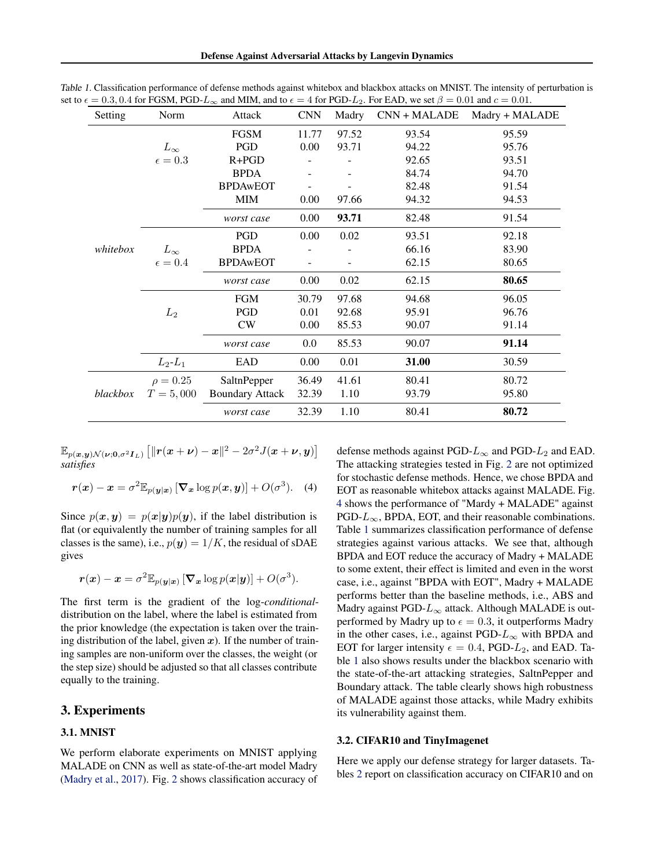| Setting  | Norm             | Attack                 | <b>CNN</b> | Madry | CNN + MALADE | Madry + MALADE |
|----------|------------------|------------------------|------------|-------|--------------|----------------|
|          |                  | <b>FGSM</b>            | 11.77      | 97.52 | 93.54        | 95.59          |
|          | $L_{\infty}$     | PGD                    | 0.00       | 93.71 | 94.22        | 95.76          |
|          | $\epsilon = 0.3$ | $R+PGD$                |            |       | 92.65        | 93.51          |
|          |                  | <b>BPDA</b>            |            |       | 84.74        | 94.70          |
|          |                  | <b>BPDAWEOT</b>        |            |       | 82.48        | 91.54          |
|          |                  | <b>MIM</b>             | 0.00       | 97.66 | 94.32        | 94.53          |
|          |                  | worst case             | 0.00       | 93.71 | 82.48        | 91.54          |
|          |                  | <b>PGD</b>             | 0.00       | 0.02  | 93.51        | 92.18          |
| whitebox | $L_{\infty}$     | <b>BPDA</b>            |            |       | 66.16        | 83.90          |
|          | $\epsilon = 0.4$ | <b>BPDAWEOT</b>        |            |       | 62.15        | 80.65          |
|          |                  | worst case             | 0.00       | 0.02  | 62.15        | 80.65          |
|          |                  | <b>FGM</b>             | 30.79      | 97.68 | 94.68        | 96.05          |
|          | $L_2$            | PGD                    | 0.01       | 92.68 | 95.91        | 96.76          |
|          |                  | CW                     | 0.00       | 85.53 | 90.07        | 91.14          |
|          |                  | worst case             | 0.0        | 85.53 | 90.07        | 91.14          |
|          | $L_2$ - $L_1$    | EAD                    | 0.00       | 0.01  | 31.00        | 30.59          |
| blackbox | $\rho = 0.25$    | SaltnPepper            | 36.49      | 41.61 | 80.41        | 80.72          |
|          | $T = 5,000$      | <b>Boundary Attack</b> | 32.39      | 1.10  | 93.79        | 95.80          |
|          |                  | worst case             | 32.39      | 1.10  | 80.41        | 80.72          |

Table 1. Classification performance of defense methods against whitebox and blackbox attacks on MNIST. The intensity of perturbation is set to  $\epsilon = 0.3, 0.4$  for FGSM, PGD- $L_{\infty}$  and MIM, and to  $\epsilon = 4$  for PGD- $L_2$ . For EAD, we set  $\beta = 0.01$  and  $c = 0.01$ .

 $\mathbb{E}_{p(\boldsymbol{x},\boldsymbol{y})\mathcal{N}(\boldsymbol{\nu};\boldsymbol{0},\sigma^2 \boldsymbol{I}_L)}\left[\|\boldsymbol{r}(\boldsymbol{x}+\boldsymbol{\nu})-\boldsymbol{x}\|^2-2\sigma^2J(\boldsymbol{x}+\boldsymbol{\nu},\boldsymbol{y})\right]$ *satisfies*

$$
\boldsymbol{r}(\boldsymbol{x}) - \boldsymbol{x} = \sigma^2 \mathbb{E}_{p(\boldsymbol{y}|\boldsymbol{x})} \left[ \boldsymbol{\nabla}_{\boldsymbol{x}} \log p(\boldsymbol{x}, \boldsymbol{y}) \right] + O(\sigma^3). \quad (4)
$$

Since  $p(x, y) = p(x|y)p(y)$ , if the label distribution is flat (or equivalently the number of training samples for all classes is the same), i.e.,  $p(\mathbf{y}) = 1/K$ , the residual of sDAE gives

$$
\boldsymbol{r}(\boldsymbol{x}) - \boldsymbol{x} = \sigma^2 \mathbb{E}_{p(\boldsymbol{y}|\boldsymbol{x})} \left[ \boldsymbol{\nabla}_{\boldsymbol{x}} \log p(\boldsymbol{x}|\boldsymbol{y}) \right] + O(\sigma^3).
$$

The first term is the gradient of the log-*conditional*distribution on the label, where the label is estimated from the prior knowledge (the expectation is taken over the training distribution of the label, given x). If the number of training samples are non-uniform over the classes, the weight (or the step size) should be adjusted so that all classes contribute equally to the training.

# 3. Experiments

#### 3.1. MNIST

We perform elaborate experiments on MNIST applying MALADE on CNN as well as state-of-the-art model Madry [\(Madry et al.,](#page-4-0) [2017\)](#page-4-0). Fig. [2](#page-1-0) shows classification accuracy of defense methods against PGD- $L_{\infty}$  and PGD- $L_2$  and EAD. The attacking strategies tested in Fig. [2](#page-1-0) are not optimized for stochastic defense methods. Hence, we chose BPDA and EOT as reasonable whitebox attacks against MALADE. Fig. [4](#page-3-0) shows the performance of "Mardy + MALADE" against  $PGD-L_{\infty}$ , BPDA, EOT, and their reasonable combinations. Table 1 summarizes classification performance of defense strategies against various attacks. We see that, although BPDA and EOT reduce the accuracy of Madry + MALADE to some extent, their effect is limited and even in the worst case, i.e., against "BPDA with EOT", Madry + MALADE performs better than the baseline methods, i.e., ABS and Madry against PGD- $L_{\infty}$  attack. Although MALADE is outperformed by Madry up to  $\epsilon = 0.3$ , it outperforms Madry in the other cases, i.e., against PGD- $L_{\infty}$  with BPDA and EOT for larger intensity  $\epsilon = 0.4$ , PGD- $L_2$ , and EAD. Table 1 also shows results under the blackbox scenario with the state-of-the-art attacking strategies, SaltnPepper and Boundary attack. The table clearly shows high robustness of MALADE against those attacks, while Madry exhibits its vulnerability against them.

### 3.2. CIFAR10 and TinyImagenet

Here we apply our defense strategy for larger datasets. Tables [2](#page-3-0) report on classification accuracy on CIFAR10 and on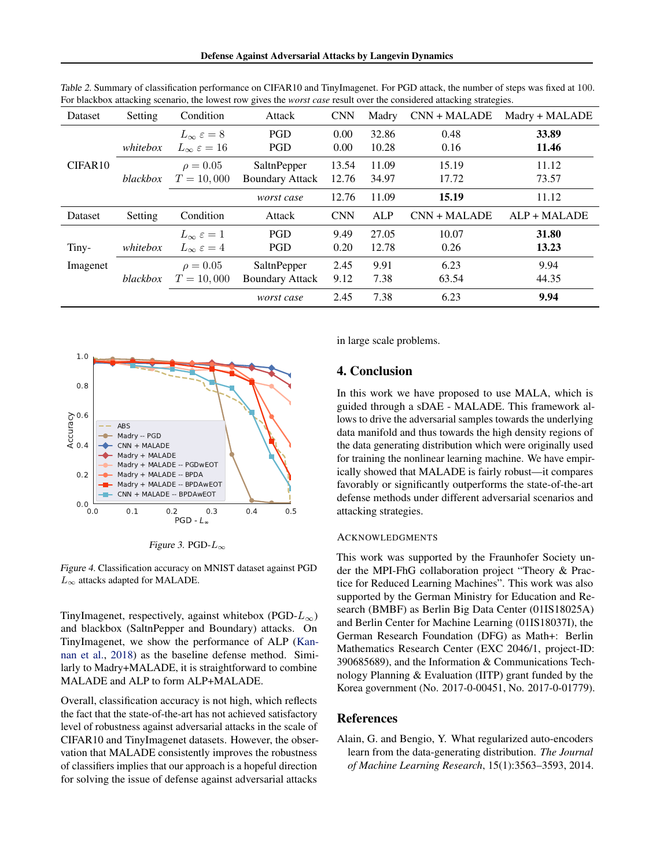| <b>Dataset</b>      | Setting  | Condition                     | Attack                 | <b>CNN</b> | Madry | $CNN + MALADE$ | Madry + MALADE |
|---------------------|----------|-------------------------------|------------------------|------------|-------|----------------|----------------|
|                     |          | $L_{\infty} \varepsilon = 8$  | <b>PGD</b>             | 0.00       | 32.86 | 0.48           | 33.89          |
|                     | whitebox | $L_{\infty} \varepsilon = 16$ | <b>PGD</b>             | 0.00       | 10.28 | 0.16           | 11.46          |
| CIFAR <sub>10</sub> |          | $\rho = 0.05$                 | SaltnPepper            | 13.54      | 11.09 | 15.19          | 11.12          |
|                     | blackbox | $T = 10,000$                  | <b>Boundary Attack</b> | 12.76      | 34.97 | 17.72          | 73.57          |
|                     |          |                               | worst case             | 12.76      | 11.09 | 15.19          | 11.12          |
| Dataset             | Setting  | Condition                     | Attack                 | <b>CNN</b> | ALP   | $CNN + MALADE$ | ALP + MALADE   |
|                     |          | $L_{\infty} \varepsilon = 1$  | <b>PGD</b>             | 9.49       | 27.05 | 10.07          | 31.80          |
| Tiny-               | whitebox | $L_{\infty} \varepsilon = 4$  | <b>PGD</b>             | 0.20       | 12.78 | 0.26           | 13.23          |
| Imagenet            |          | $\rho = 0.05$                 | SaltnPepper            | 2.45       | 9.91  | 6.23           | 9.94           |
|                     | blackbox | $T = 10,000$                  | <b>Boundary Attack</b> | 9.12       | 7.38  | 63.54          | 44.35          |
|                     |          |                               | worst case             | 2.45       | 7.38  | 6.23           | 9.94           |

<span id="page-3-0"></span>Table 2. Summary of classification performance on CIFAR10 and TinyImagenet. For PGD attack, the number of steps was fixed at 100. For blackbox attacking scenario, the lowest row gives the *worst case* result over the considered attacking strategies.



Figure 3. PGD- $L_{\infty}$ 

Figure 4. Classification accuracy on MNIST dataset against PGD  $L_{\infty}$  attacks adapted for MALADE.

TinyImagenet, respectively, against whitebox (PGD- $L_{\infty}$ ) and blackbox (SaltnPepper and Boundary) attacks. On TinyImagenet, we show the performance of ALP [\(Kan](#page-4-0)[nan et al.,](#page-4-0) [2018\)](#page-4-0) as the baseline defense method. Similarly to Madry+MALADE, it is straightforward to combine MALADE and ALP to form ALP+MALADE.

Overall, classification accuracy is not high, which reflects the fact that the state-of-the-art has not achieved satisfactory level of robustness against adversarial attacks in the scale of CIFAR10 and TinyImagenet datasets. However, the observation that MALADE consistently improves the robustness of classifiers implies that our approach is a hopeful direction for solving the issue of defense against adversarial attacks

in large scale problems.

# 4. Conclusion

In this work we have proposed to use MALA, which is guided through a sDAE - MALADE. This framework allows to drive the adversarial samples towards the underlying data manifold and thus towards the high density regions of the data generating distribution which were originally used for training the nonlinear learning machine. We have empirically showed that MALADE is fairly robust—it compares favorably or significantly outperforms the state-of-the-art defense methods under different adversarial scenarios and attacking strategies.

#### ACKNOWLEDGMENTS

This work was supported by the Fraunhofer Society under the MPI-FhG collaboration project "Theory & Practice for Reduced Learning Machines". This work was also supported by the German Ministry for Education and Research (BMBF) as Berlin Big Data Center (01IS18025A) and Berlin Center for Machine Learning (01IS18037I), the German Research Foundation (DFG) as Math+: Berlin Mathematics Research Center (EXC 2046/1, project-ID: 390685689), and the Information & Communications Technology Planning & Evaluation (IITP) grant funded by the Korea government (No. 2017-0-00451, No. 2017-0-01779).

## References

Alain, G. and Bengio, Y. What regularized auto-encoders learn from the data-generating distribution. *The Journal of Machine Learning Research*, 15(1):3563–3593, 2014.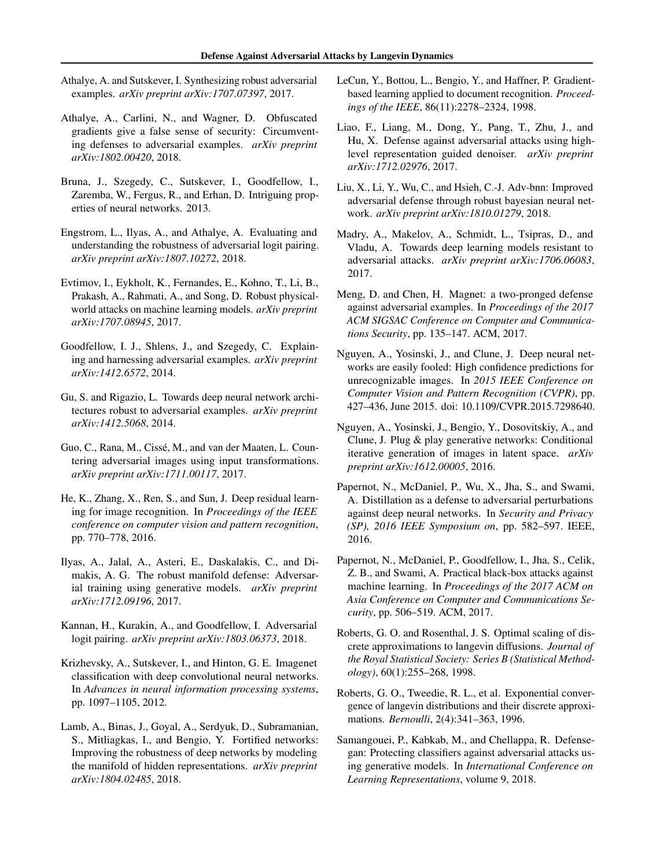- <span id="page-4-0"></span>Athalye, A. and Sutskever, I. Synthesizing robust adversarial examples. *arXiv preprint arXiv:1707.07397*, 2017.
- Athalye, A., Carlini, N., and Wagner, D. Obfuscated gradients give a false sense of security: Circumventing defenses to adversarial examples. *arXiv preprint arXiv:1802.00420*, 2018.
- Bruna, J., Szegedy, C., Sutskever, I., Goodfellow, I., Zaremba, W., Fergus, R., and Erhan, D. Intriguing properties of neural networks. 2013.
- Engstrom, L., Ilyas, A., and Athalye, A. Evaluating and understanding the robustness of adversarial logit pairing. *arXiv preprint arXiv:1807.10272*, 2018.
- Evtimov, I., Eykholt, K., Fernandes, E., Kohno, T., Li, B., Prakash, A., Rahmati, A., and Song, D. Robust physicalworld attacks on machine learning models. *arXiv preprint arXiv:1707.08945*, 2017.
- Goodfellow, I. J., Shlens, J., and Szegedy, C. Explaining and harnessing adversarial examples. *arXiv preprint arXiv:1412.6572*, 2014.
- Gu, S. and Rigazio, L. Towards deep neural network architectures robust to adversarial examples. *arXiv preprint arXiv:1412.5068*, 2014.
- Guo, C., Rana, M., Cissé, M., and van der Maaten, L. Countering adversarial images using input transformations. *arXiv preprint arXiv:1711.00117*, 2017.
- He, K., Zhang, X., Ren, S., and Sun, J. Deep residual learning for image recognition. In *Proceedings of the IEEE conference on computer vision and pattern recognition*, pp. 770–778, 2016.
- Ilyas, A., Jalal, A., Asteri, E., Daskalakis, C., and Dimakis, A. G. The robust manifold defense: Adversarial training using generative models. *arXiv preprint arXiv:1712.09196*, 2017.
- Kannan, H., Kurakin, A., and Goodfellow, I. Adversarial logit pairing. *arXiv preprint arXiv:1803.06373*, 2018.
- Krizhevsky, A., Sutskever, I., and Hinton, G. E. Imagenet classification with deep convolutional neural networks. In *Advances in neural information processing systems*, pp. 1097–1105, 2012.
- Lamb, A., Binas, J., Goyal, A., Serdyuk, D., Subramanian, S., Mitliagkas, I., and Bengio, Y. Fortified networks: Improving the robustness of deep networks by modeling the manifold of hidden representations. *arXiv preprint arXiv:1804.02485*, 2018.
- LeCun, Y., Bottou, L., Bengio, Y., and Haffner, P. Gradientbased learning applied to document recognition. *Proceedings of the IEEE*, 86(11):2278–2324, 1998.
- Liao, F., Liang, M., Dong, Y., Pang, T., Zhu, J., and Hu, X. Defense against adversarial attacks using highlevel representation guided denoiser. *arXiv preprint arXiv:1712.02976*, 2017.
- Liu, X., Li, Y., Wu, C., and Hsieh, C.-J. Adv-bnn: Improved adversarial defense through robust bayesian neural network. *arXiv preprint arXiv:1810.01279*, 2018.
- Madry, A., Makelov, A., Schmidt, L., Tsipras, D., and Vladu, A. Towards deep learning models resistant to adversarial attacks. *arXiv preprint arXiv:1706.06083*, 2017.
- Meng, D. and Chen, H. Magnet: a two-pronged defense against adversarial examples. In *Proceedings of the 2017 ACM SIGSAC Conference on Computer and Communications Security*, pp. 135–147. ACM, 2017.
- Nguyen, A., Yosinski, J., and Clune, J. Deep neural networks are easily fooled: High confidence predictions for unrecognizable images. In *2015 IEEE Conference on Computer Vision and Pattern Recognition (CVPR)*, pp. 427–436, June 2015. doi: 10.1109/CVPR.2015.7298640.
- Nguyen, A., Yosinski, J., Bengio, Y., Dosovitskiy, A., and Clune, J. Plug & play generative networks: Conditional iterative generation of images in latent space. *arXiv preprint arXiv:1612.00005*, 2016.
- Papernot, N., McDaniel, P., Wu, X., Jha, S., and Swami, A. Distillation as a defense to adversarial perturbations against deep neural networks. In *Security and Privacy (SP), 2016 IEEE Symposium on*, pp. 582–597. IEEE, 2016.
- Papernot, N., McDaniel, P., Goodfellow, I., Jha, S., Celik, Z. B., and Swami, A. Practical black-box attacks against machine learning. In *Proceedings of the 2017 ACM on Asia Conference on Computer and Communications Security*, pp. 506–519. ACM, 2017.
- Roberts, G. O. and Rosenthal, J. S. Optimal scaling of discrete approximations to langevin diffusions. *Journal of the Royal Statistical Society: Series B (Statistical Methodology)*, 60(1):255–268, 1998.
- Roberts, G. O., Tweedie, R. L., et al. Exponential convergence of langevin distributions and their discrete approximations. *Bernoulli*, 2(4):341–363, 1996.
- Samangouei, P., Kabkab, M., and Chellappa, R. Defensegan: Protecting classifiers against adversarial attacks using generative models. In *International Conference on Learning Representations*, volume 9, 2018.